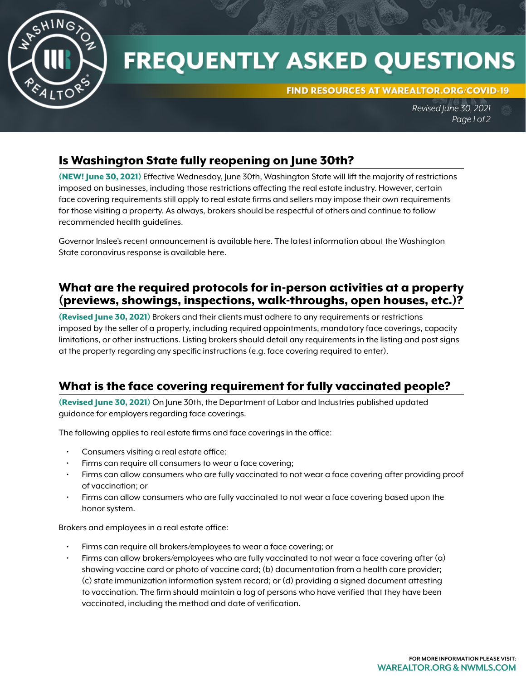

# **FREQUENTLY ASKED QUESTIONS**

FIND RESOURCES AT WAREALTOR.ORG/COVID-19

*Revised June 30, 2021 Page 1 of 2*

## Is Washington State fully reopening on June 30th?

(NEW! June 30, 2021) Effective Wednesday, June 30th, Washington State will lift the majority of restrictions imposed on businesses, including those restrictions affecting the real estate industry. However, certain face covering requirements still apply to real estate firms and sellers may impose their own requirements for those visiting a property. As always, brokers should be respectful of others and continue to follow recommended health guidelines.

Governor Inslee's recent announcement is available [here](https://www.governor.wa.gov/news-media/inslee-statement-upcoming-economic-reopening). The latest information about the Washington State coronavirus response is available [here](https://coronavirus.wa.gov/).

### What are the required protocols for in-person activities at a property (previews, showings, inspections, walk-throughs, open houses, etc.)?

(Revised June 30, 2021) Brokers and their clients must adhere to any requirements or restrictions imposed by the seller of a property, including required appointments, mandatory face coverings, capacity limitations, or other instructions. Listing brokers should detail any requirements in the listing and post signs at the property regarding any specific instructions (e.g. face covering required to enter).

## What is the face covering requirement for fully vaccinated people?

(Revised June 30, 2021) On June 30th, the Department of Labor and Industries published updated guidance for employers regarding face coverings.

The following applies to real estate firms and face coverings in the office:

- Consumers visiting a real estate office:
- Firms can require all consumers to wear a face covering;
- Firms can allow consumers who are fully vaccinated to not wear a face covering after providing proof of vaccination; or
- Firms can allow consumers who are fully vaccinated to not wear a face covering based upon the honor system.

Brokers and employees in a real estate office:

- Firms can require all brokers/employees to wear a face covering; or
- Firms can allow brokers/employees who are fully vaccinated to not wear a face covering after (a) showing vaccine card or photo of vaccine card; (b) documentation from a health care provider; (c) state immunization information system record; or (d) providing a signed document attesting to vaccination. The firm should maintain a log of persons who have verified that they have been vaccinated, including the method and date of verification.